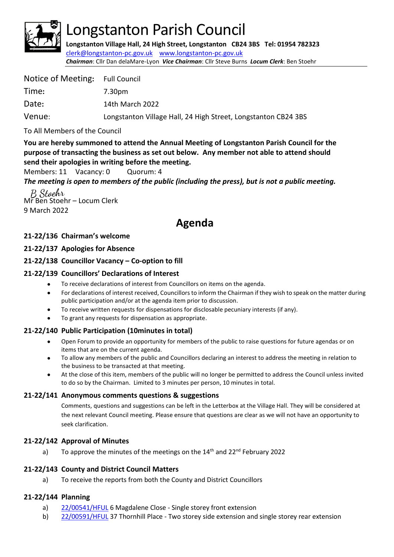

# Longstanton Parish Council

**Longstanton Village Hall, 24 High Street, Longstanton CB24 3BS Tel: 01954 782323** [clerk@longstanton-pc.gov.uk](mailto:clerk@longstanton-pc.gov.uk) [www.longstanton-pc.gov.uk](http://www.longstanton-pc.gov.uk/) *Chairman*: Cllr Dan delaMare-Lyon *Vice Chairman*: Cllr Steve Burns *Locum Clerk*: Ben Stoehr

| Notice of Meeting: Full Council |                                                                |
|---------------------------------|----------------------------------------------------------------|
| Time:                           | 7.30pm                                                         |
| Date:                           | 14th March 2022                                                |
| Venue:                          | Longstanton Village Hall, 24 High Street, Longstanton CB24 3BS |

To All Members of the Council

**You are hereby summoned to attend the Annual Meeting of Longstanton Parish Council for the purpose of transacting the business as set out below. Any member not able to attend should send their apologies in writing before the meeting.**

Members: 11 Vacancy: 0 Quorum: 4

*The meeting is open to members of the public (including the press), but is not a public meeting.* 

B Stochr Mr Ben Stoehr – Locum Clerk 9 March 2022

# **Agenda**

# **21-22/136 Chairman's welcome**

# **21-22/137 Apologies for Absence**

# **21-22/138 Councillor Vacancy – Co-option to fill**

# **21-22/139 Councillors' Declarations of Interest**

- To receive declarations of interest from Councillors on items on the agenda.
- For declarations of interest received, Councillors to inform the Chairman if they wish to speak on the matter during public participation and/or at the agenda item prior to discussion.
- To receive written requests for dispensations for disclosable pecuniary interests (if any).
- To grant any requests for dispensation as appropriate.

# **21-22/140 Public Participation (10minutes in total)**

- Open Forum to provide an opportunity for members of the public to raise questions for future agendas or on items that are on the current agenda.
- To allow any members of the public and Councillors declaring an interest to address the meeting in relation to the business to be transacted at that meeting.
- At the close of this item, members of the public will no longer be permitted to address the Council unless invited to do so by the Chairman. Limited to 3 minutes per person, 10 minutes in total.

#### **21-22/141 Anonymous comments questions & suggestions**

Comments, questions and suggestions can be left in the Letterbox at the Village Hall. They will be considered at the next relevant Council meeting. Please ensure that questions are clear as we will not have an opportunity to seek clarification.

#### **21-22/142 Approval of Minutes**

a) To approve the minutes of the meetings on the 14<sup>th</sup> and 22<sup>nd</sup> February 2022

# **21-22/143 County and District Council Matters**

a) To receive the reports from both the County and District Councillors

#### **21-22/144 Planning**

- a) [22/00541/HFUL](https://applications.greatercambridgeplanning.org/online-applications/PLAN/22/00541/HFUL) 6 Magdalene Close Single storey front extension
- b) [22/00591/HFUL](https://applications.greatercambridgeplanning.org/online-applications/PLAN/22/00591/HFUL) 37 Thornhill Place Two storey side extension and single storey rear extension